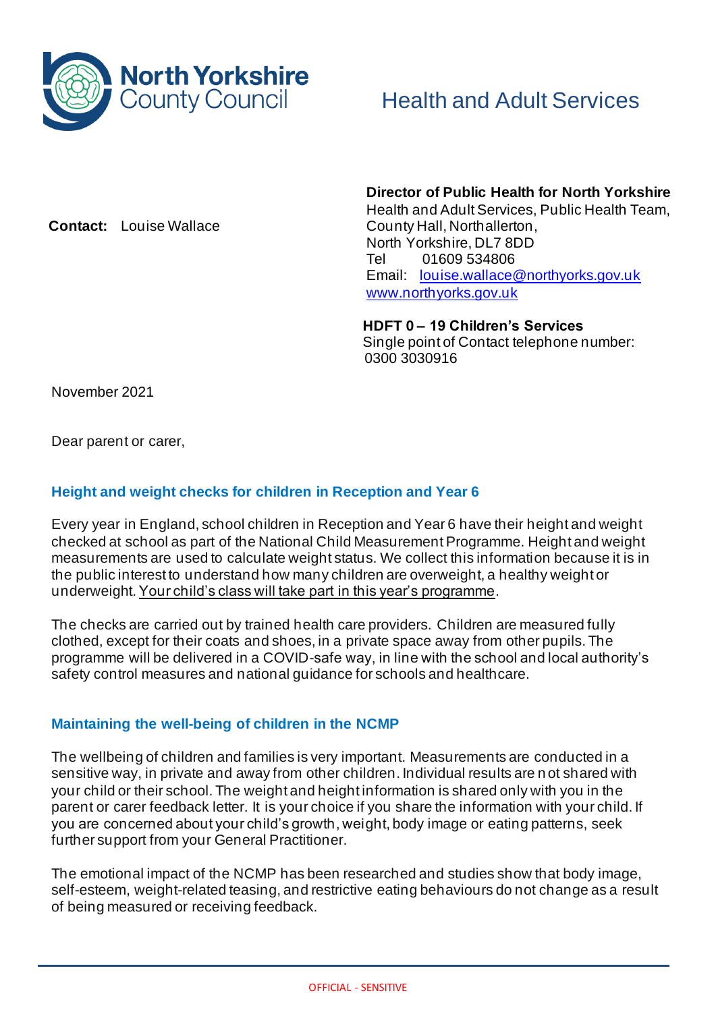

**Contact:** Louise Wallace

 **Director of Public Health for North Yorkshire**  Health and Adult Services, Public Health Team, County Hall, Northallerton, North Yorkshire, DL7 8DD Tel 01609 534806 Email: louise.wallace@northyorks.gov.uk www.northyorks.gov.uk

**HDFT 0 – 19 Children's Services** Single point of Contact telephone number: 0300 3030916

November 2021

Dear parent or carer,

# **Height and weight checks for children in Reception and Year 6**

Every year in England, school children in Reception and Year 6 have their height and weight checked at school as part of the National Child Measurement Programme. Height and weight measurements are used to calculate weight status. We collect this information because it is in the public interest to understand how many children are overweight, a healthy weight or underweight. Your child's class will take part in this year's programme.

The checks are carried out by trained health care providers. Children are measured fully clothed, except for their coats and shoes, in a private space away from other pupils. The programme will be delivered in a COVID-safe way, in line with the school and local authority's safety control measures and national guidance for schools and healthcare.

# **Maintaining the well-being of children in the NCMP**

The wellbeing of children and families is very important. Measurements are conducted in a sensitive way, in private and away from other children. Individual results are n ot shared with your child or their school. The weight and height information is shared only with you in the parent or carer feedback letter. It is your choice if you share the information with your child. If you are concerned about your child's growth, weight, body image or eating patterns, seek further support from your General Practitioner.

The emotional impact of the NCMP has been researched and studies show that body image, self-esteem, weight-related teasing, and restrictive eating behaviours do not change as a result of being measured or receiving feedback.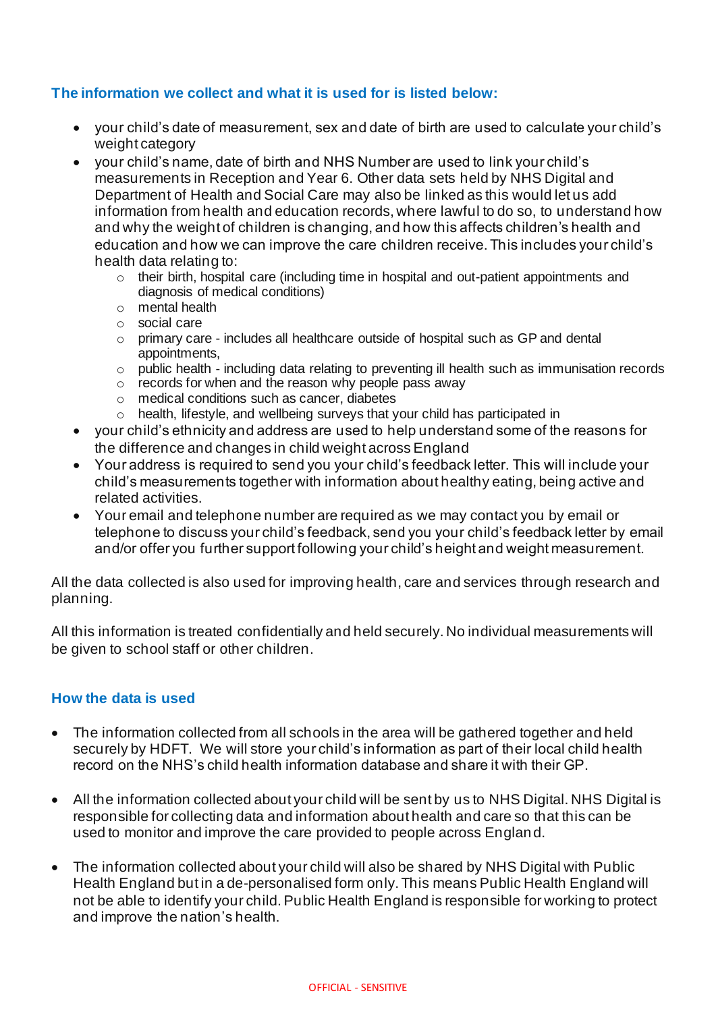## **The information we collect and what it is used for is listed below:**

- your child's date of measurement, sex and date of birth are used to calculate your child's weight category
- your child's name, date of birth and NHS Number are used to link your child's measurements in Reception and Year 6. Other data sets held by NHS Digital and Department of Health and Social Care may also be linked as this would let us add information from health and education records, where lawful to do so, to understand how and why the weight of children is changing, and how this affects children's health and education and how we can improve the care children receive. This includes your child's health data relating to:
	- $\circ$  their birth, hospital care (including time in hospital and out-patient appointments and diagnosis of medical conditions)
	- o mental health
	- o social care
	- o primary care includes all healthcare outside of hospital such as GP and dental appointments,
	- $\circ$  public health including data relating to preventing ill health such as immunisation records
	- $\circ$  records for when and the reason why people pass away
	- o medical conditions such as cancer, diabetes
	- o health, lifestyle, and wellbeing surveys that your child has participated in
- your child's ethnicity and address are used to help understand some of the reasons for the difference and changes in child weight across England
- Your address is required to send you your child's feedback letter. This will include your child's measurements together with information about healthy eating, being active and related activities.
- Your email and telephone number are required as we may contact you by email or telephone to discuss your child's feedback, send you your child's feedback letter by email and/or offer you further support following your child's height and weight measurement.

All the data collected is also used for improving health, care and services through research and planning.

All this information is treated confidentially and held securely. No individual measurements will be given to school staff or other children.

#### **How the data is used**

- The information collected from all schools in the area will be gathered together and held securely by HDFT. We will store your child's information as part of their local child health record on the NHS's child health information database and share it with their GP.
- All the information collected about your child will be sent by us to NHS Digital. NHS Digital is responsible for collecting data and information about health and care so that this can be used to monitor and improve the care provided to people across England.
- The information collected about your child will also be shared by NHS Digital with Public Health England but in a de-personalised form only. This means Public Health England will not be able to identify your child. Public Health England is responsible for working to protect and improve the nation's health.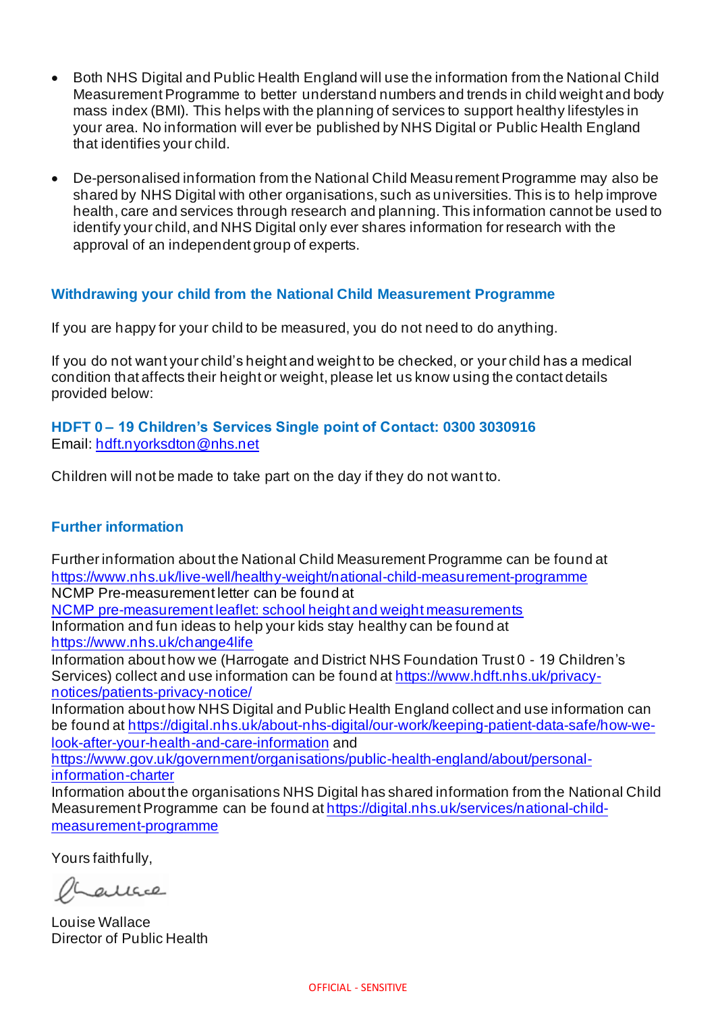- Both NHS Digital and Public Health England will use the information from the National Child Measurement Programme to better understand numbers and trends in child weight and body mass index (BMI). This helps with the planning of services to support healthy lifestyles in your area. No information will ever be published by NHS Digital or Public Health England that identifies your child.
- De-personalised information from the National Child Measurement Programme may also be shared by NHS Digital with other organisations, such as universities. This is to help improve health, care and services through research and planning. This information cannot be used to identify your child, and NHS Digital only ever shares information for research with the approval of an independent group of experts.

## **Withdrawing your child from the National Child Measurement Programme**

If you are happy for your child to be measured, you do not need to do anything.

If you do not want your child's height and weight to be checked, or your child has a medical condition that affects their height or weight, please let us know using the contact details provided below:

### **HDFT 0 – 19 Children's Services Single point of Contact: 0300 3030916** Email: hdft.nyorksdton@nhs.net

Children will not be made to take part on the day if they do not want to.

#### **Further information**

Further information about the National Child Measurement Programme can be found at https://www.nhs.uk/live-well/healthy-weight/national-child-measurement-programme NCMP Pre-measurement letter can be found at

NCMP pre-measurement leaflet: school height and weight measurements Information and fun ideas to help your kids stay healthy can be found at https://www.nhs.uk/change4life

Information about how we (Harrogate and District NHS Foundation Trust 0 - 19 Children's Services) collect and use information can be found at https://www.hdft.nhs.uk/privacynotices/patients-privacy-notice/

Information about how NHS Digital and Public Health England collect and use information can be found at https://digital.nhs.uk/about-nhs-digital/our-work/keeping-patient-data-safe/how-welook-after-your-health-and-care-information and

https://www.gov.uk/government/organisations/public-health-england/about/personalinformation-charter

Information about the organisations NHS Digital has shared information from the National Child Measurement Programme can be found at https://digital.nhs.uk/services/national-childmeasurement-programme

Yours faithfully,

 $ALIGC2$ 

Louise Wallace Director of Public Health